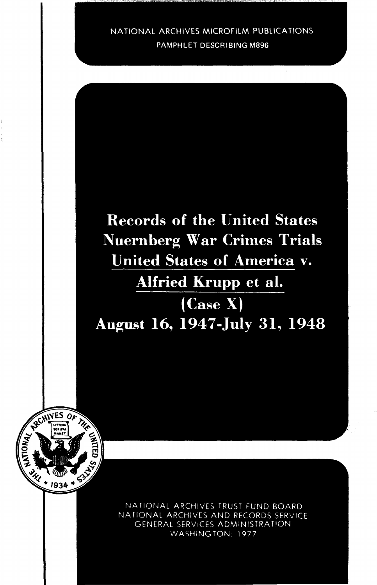NATIONAL ARCHIVES MICROFILM PUBLICATIONS PAMPHLET DESCRIBING M896





NATIONAL ARCHIVES TRUST FUND BOARD NATIONAL ARCHIVES AND RECORDS SERVICE GENERAL SERVICES ADMINISTRATION WASHINGTON: 1977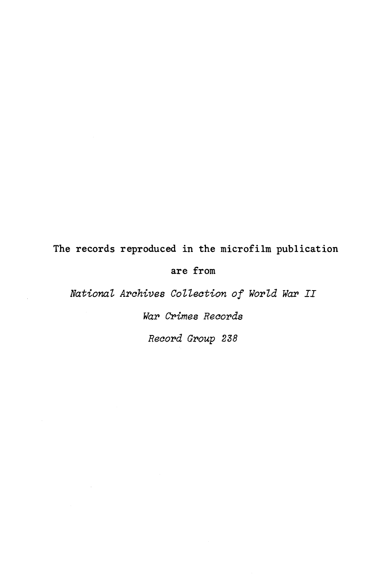## The records reproduced in the microfilm publication are from

National Archives Collection of World War II

War Crimes Records

Record Group 238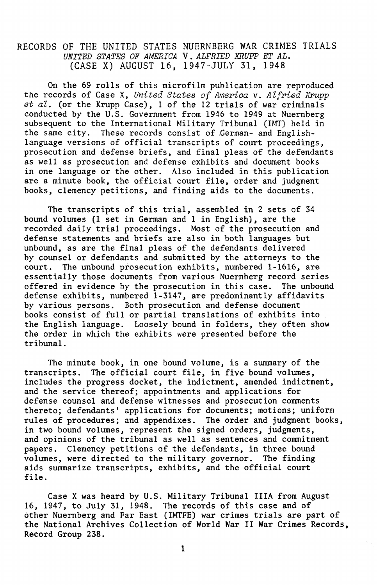## RECORDS OF THE UNITED STATES NUERNBERG WAR CRIMES TRIALS UNITED STATES OF AMERICA V. ALFRIED KRUPP ET AL. (CASE X) AUGUST 16, 1947-JULY 31, 1948

On the 69 rolls of this microfilm publication are reproduced the records of Case X, United States of America v. Atfried Krupp et  $al$ . (or the Krupp Case), 1 of the 12 trials of war criminals conducted by the U.S. Government from 1946 to 1949 at Nuernberg subsequent to the International Military Tribunal (IMT) held in the same city. These records consist of ,German- and Englishlanguage versions of official transcripts of court proceedings, prosecution and defense briefs, and final pleas of the defendants as well as prosecution and defense exhibits and document books in one language or the other. Also included in this publication are a minute book, the official court file, order and judgment books, clemency petitions, and finding aids to the documents.

The transcripts of this trial, assembled in 2 sets of 34 bound volumes (1 set in German and 1 in English), are the recorded daily trial proceedings. Most of the prosecution and defense statements and briefs are also in both languages but unbound, as are the final pleas of the defendants delivered by counsel or defendants and submitted by the attorneys to the court. The unbound prosecution exhibits, numbered 1-1616, are essentially those documents from various Nuernberg record series offered in evidence by the prosecution in this case. The unbound defense exhibits, numbered 1-3147, are predominantly affidavits by various persons. Both prosecution and defense document books consist of full or partial translations of exhibits into the English language. Loosely bound in folders, they often show the order in which the exhibits were presented before the tribunal.

The minute book, in one bound volume, is a summary of the transcripts. The official court file, in five bound volumes, includes the progress docket, the indictment, amended indictment, and the service thereof; appointments and applications for defense counsel and defense witnesses and prosecution comments thereto; defendants' applications for documents; motions; uniform rules of procedures; and appendixes. The order and judgment books, in two bound volumes, represent the signed orders, judgments, and opinions of the tribunal as well as sentences and commitment papers. Clemency petitions of the defendants, in three bound volumes, were directed to the military governor. The finding aids summarize transcripts, exhibits, and the official court file.

Case X was heard by U.S. Military Tribunal IIIA from August 16, 1947, to July 31, 1948. The records of this case and of other Nuernberg and Far East (IMTFE) war crimes trials are part of the National Archives Collection of World War II War Crimes Records, Record Group 238.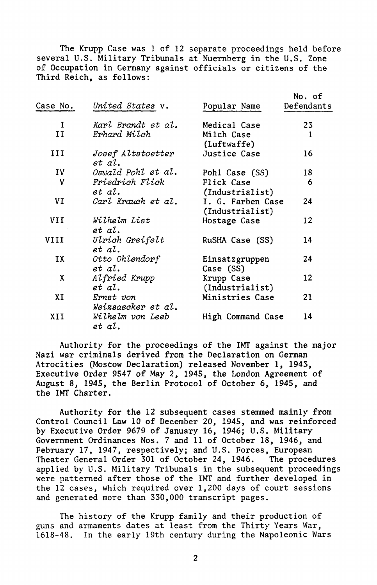The Krupp Case was 1 of 12 separate proceedings held before several U.S. Military Tribunals at Nuernberg in the U.S. Zone of Occupation in Germany against officials or citizens of the Third Reich, as follows:

|             |                                    |                                      | No. of     |
|-------------|------------------------------------|--------------------------------------|------------|
| Case No.    | United States v.                   | Popular Name                         | Defendants |
| $\mathbf I$ | Karl Brandt et al.                 | Medical Case                         | 23         |
| Ħ           | Erhard Milch                       | Milch Case<br>(Luftwaffe)            | -1         |
| ш           | <i>Josef Altstoetter</i><br>et al. | Justice Case                         | 16         |
| IV —        | Oswald Pohl et al.                 | Pohl Case (SS)                       | 18         |
| v           | Friedrich Flick<br>et al.          | Flick Case<br>(Industrialist)        | 6          |
| VI          | Carl Krauch et al.                 | I. G. Farben Case<br>(Industrialist) | 24         |
| VII.        | Wilhelm List<br>et al.             | Hostage Case                         | 12         |
| VIII        | Ulrich Greifelt<br>et al.          | RuSHA Case (SS)                      | 14         |
| IX          | Otto Ohlendorf<br>et al.           | Einsatzgruppen<br>Case (SS)          | 24         |
| X           | Alfried Krupp<br>et al.            | Krupp Case<br>(Industrialist)        | 12         |
| XI          | Ernst von<br>Weizsaecker et al.    | Ministries Case                      | 21         |
| XII         | Wilhelm von Leeb<br>et al.         | High Command Case                    | 14         |

Authority for the proceedings of the IMT against the major Nazi war criminals derived from the Declaration on German Atrocities (Moscow Declaration) released November 1, 1943, Executive Order 9547 of May 2, 1945, the London Agreement of August 8, 1945, the Berlin Protocol of October 6, 1945, and the IMT Charter.

Authority for the 12 subsequent cases stemmed mainly from Control Council Law 10 of December 20, 1945, and was reinforced by Executive Order 9679 of January 16, 1946; U.S. Military Government Ordinances Nos. 7 and 11 of October 18, 1946, and February 17, 1947, respectively; and U.S. Forces, European<br>Theater General Order 301 of October 24, 1946. The procedures Theater General Order 301 of October 24, 1946. applied by U.S. Military Tribunals in the subsequent proceedings were patterned after those of the IMT and further developed in the 12 cases, which required over 1,200 days of court sessions and generated more than 330,000 transcript pages.

The history of the Krupp family and their production of guns and armaments dates at least from the Thirty Years War, 1618-48. In the early 19th century during the Napoleonic Wars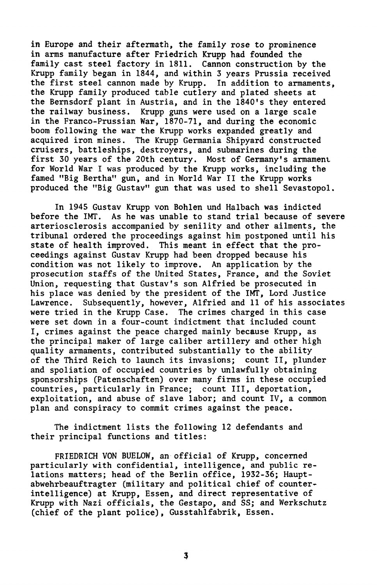in Europe and their aftermath, the family rose to prominence in arms manufacture after Friedrich Krupp had founded the family cast steel factory in 1811. Cannon construction by the Krupp family began in 1844, and within 3 years Prussia received the first steel cannon made by Krupp. In addition to armaments, the Krupp family produced table cutlery and plated sheets at the Bemsdorf plant in Austria, and in the 1840's they entered the railway business. Krupp guns were used on a large scale in the Franco-Prussian War, 1870-71, and during the economic boom following the war the Krupp works expanded greatly and acquired iron mines. The Krupp Germania Shipyard constructed cruisers, battleships, destroyers, and submarines during the first 30 years of the 20th century. Most of Germany's armament for World War I was produced by the Krupp works, including the famed "Big Bertha" gun, and in World War II the Krupp works produced the "Big Gustav" gun that was used to shell Sevastopol.

In 1945 Gustav Krupp von Bohlen und Halbach was indicted before the IMT. As he was unable to stand trial because of severe arteriosclerosis accompanied by senility and other ailments, the tribunal ordered the proceedings against him postponed until his state of health improved. This meant in effect that the proceedings against Gustav Krupp had been dropped because his condition was not likely to improve. An application by the prosecution staffs of the United States, France, and the Soviet Union, requesting that Gustav's son Alfried be prosecuted in his place was denied by the president of the IMT, Lord Justice Lawrence. Subsequently, however, Alfried and 11 of his associates were tried in the Krupp Case. The crimes charged in this case were set down in a four-count indictment that included count I, crimes against the peace charged mainly because Krupp, as the principal maker of large caliber artillery and other high quality armaments, contributed substantially to the ability of the Third Reich to launch its invasions; count II, plunder and spoliation of occupied countries by unlawfully obtaining sponsorships (Patenschaften) over many firms in these occupied countries, particularly in France; count III, deportation, exploitation, and abuse of slave labor; and count IV, a common plan and conspiracy to commit crimes against the peace.

The indictment lists the following 12 defendants and their principal functions and titles:

FRIEDRICH VON BUELOW, an official of Krupp, concerned particularly with confidential, intelligence, and public relations matters; head of the Berlin office, 1932-36; Hauptabwehrbeauftragter (military and political chief of counterintelligence) at Krupp, Essen, and direct representative of Krupp with Nazi officials, the Gestapo, and SS; and Werkschutz (chief of the plant police), Gusstahlfabrik, Essen.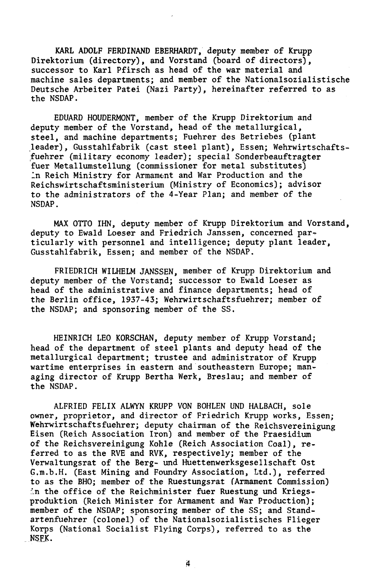KARL ADOLF FERDINAND EBERHARDT, deputy member of Krupp Direktorium (directory), and Vorstand (board of directors), successor to Karl Pfirsch as head of the war material and machine sales departments; and member of the Nationalsozialistische Deutsche Arbeiter Patei (Nazi Party), hereinafter referred to as the NSDAP.

EDUARD HOUDERMONT, member of the Krupp Direktorium and deputy member of the Vorstand, head of the metallurgical, steel, and machine departments; Fuehrer des Betriebes (plant leader), Gusstahlfabrik (cast steel plant), Essen; Wehrwirtschaftsfuehrer (military economy leader); special Sonderbeauftragter fuer Metallumstellung (commissioner for metal substitutes) In Reich Ministry for Armament and War Production and the Reichswirtschaftsministerium (Ministry of Economics); advisor to the administrators of the 4-Year Plan; and member of the NSDAP.

MAX OTTO IHN, deputy member of Krupp Direktorium and Vorstand, deputy to Ewald Loeser and Friedrich Janssen, concerned particularly with personnel and intelligence; deputy plant leader, Gusstahlfabrik, Essen; and member of the NSDAP.

FRIEDRICH WILHELM JANSSEN, member of Krupp Direktorium and deputy member of the Vorstand; successor to Ewald Loeser as head of the administrative and finance departments; head of the Berlin office, 1937-43; Wehrwirtschaftsfuehrer; member of the NSDAP; and sponsoring member of the SS,

HEINRICH LEO KORSCHAN, deputy member of Krupp Vorstand; head of the department of steel plants and deputy head of the metallurgical department; trustee and administrator of Krupp wartime enterprises in eastern and southeastern Europe; managing director of Krupp Bertha Werk, Breslau; and member of the NSDAP.

ALFRIED FELIX ALWYN KRUPP VON BOHLEN UNO HALBACH, sole owner, proprietor, and director of Friedrich Krupp works, Essen; Wehrwirtschaftsfuehrer; deputy chairman of the Reichsvereinigung Eisen (Reich Association Iron) and member of the Praesidium of the Reichsvereinigung Kohle (Reich Association Coal), referred to as the RVE and RVK, respectively; member of the Verwaltungsrat of the Berg- und Huettenwerksgesellschaft Ost G.m.b.H. (East Mining and Foundry Association, Ltd.), referred to as the BHO; member of the Ruestungsrat fArmament Commission) in the office of the Reichminister fuer Ruestung und Kriegsproduktion (Reich Minister for Armament and War Production); member of the NSDAP; sponsoring member of the SS; and Standartenfuehrer (colonel) of the Nationalsozialistisches Flieger Korps (National Socialist Flying Corps), referred to as the NSFK.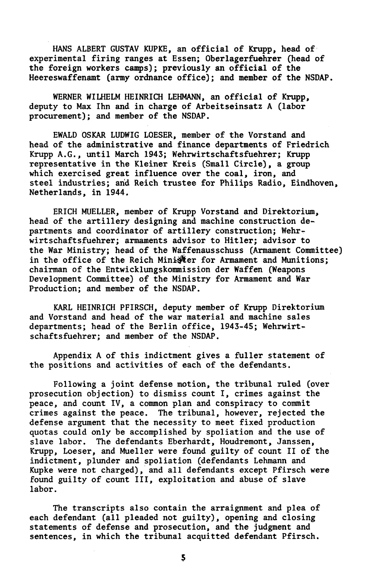HANS ALBERT GUSTAV KUPKE, an official of Krupp, head of experimental firing ranges at Essen; Oberlagerfuehrer (head of the foreign workers camps); previously an official of the Heereswaffenamt (army ordnance office); and member of the NSDAP.

WERNER WILHELM HEINRICH LEHMANN, an official of Krupp, deputy to Max Ihn and in charge of Arbeitseinsatz A (labor procurement); and member of the NSDAP.

EWALD OSKAR LUDWIG LOESER, member of the Vorstand and head of the administrative and finance departments of Friedrich Krupp A.G., until March 1943; Wehrwirtschaftsfuehrer; Krupp representative in the Kleiner Kreis (Small Circle), a group which exercised great influence over the coal, iron, and steel industries; arid Reich trustee for Philips Radio, Eindhoven, Netherlands, in 1944.

ERICH MUELLER, member of Krupp Vorstand and Direktorium, head of the artillery designing and machine construction departments and coordinator of artillery construction; Wehrwirtschaftsfuehrer; armaments advisor to Hitler; advisor to the War Ministry; head of the Waffenausschuss (Armament Committee) in the office of the Reich Minister for Armament and Munitions; chairman of the Entwicklungskommission der Waffen (Weapons Development Committee) of the Ministry for Armament and War Production; and member of the NSDAP.

KARL HEINRICH PFIRSCH, deputy member of Krupp Direktorium and Vorstand and head of the war material and machine sales departments; head of the Berlin office, 1943-45; Wehrwirtschaftsfuehrer; and member of the NSDAP.

Appendix A of this indictment gives a fuller statement of the positions and activities of each of the defendants.

Following a joint defense motion, the tribunal ruled (over prosecution objection) to dismiss count I, crimes against the peace, and count IV, a common plan and conspiracy to commit crimes against the peace. The tribunal, however, rejected the defense argument that the necessity to meet fixed production quotas could only be accomplished by spoliation and the use of slave labor. The defendants Eberhardt, Houdremont, Janssen, Krupp, Loeser, and Mueller were found guilty of count II of the indictment, plunder and spoliation (defendants Lehmann and Kupke were not charged), and all defendants except Pfirsch were found guilty of count III, exploitation and abuse of slave labor.

The transcripts also contain the arraignment and plea of each defendant (all pleaded not guilty), opening and closing statements of defense and prosecution, and the judgment and sentences, in which the tribunal acquitted defendant Pfirsch.

5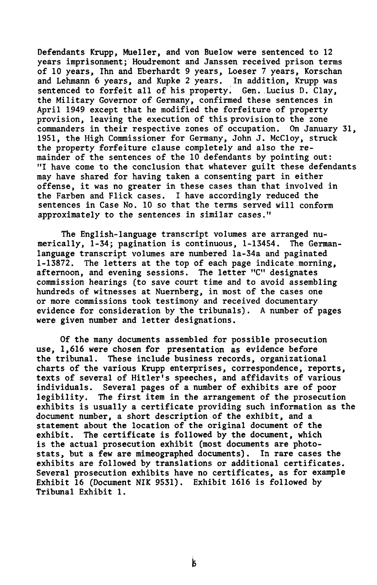Defendants Krupp, Mueller, and von Buelow were sentenced to 12 years imprisonment; Houdremont and Janssen received prison terms of 10 years, Ihn and Eberhardt 9 years, Loeser 7 years, Korschan and Lehmann 6 years, and Kupke 2 years. In addition, Krupp was sentenced to forfeit all of his property. Gen. Lucius D. Clay, the Military Governor of Germany, confirmed these sentences in April 1949 except that he modified the forfeiture of property provision, leaving the execution of this provision to the zone commanders in their respective zones of occupation. On January 31, 1951, the High Commissioner for Germany, John J. McCloy, struck the property forfeiture clause completely and also the remainder of the sentences of the 10 defendants by pointing out: "I have come to the conclusion that whatever guilt these defendants may have shared for having taken a consenting part in either offense, it was no greater in these cases than that involved in the Farben and Flick cases. I have accordingly reduced the sentences in Case No. 10 so that the terms served will conform approximately to the sentences in similar cases."

The English-language transcript volumes are arranged numerically, 1-34; pagination is continuous, 1-13454. The Germanlanguage transcript volumes are numbered la-34a and paginated 1-13872. The letters at the top of each page indicate morning, afternoon, and evening sessions. The letter "C" designates commission hearings (to save court time and to avoid assembling hundreds of witnesses at Nuernberg, in most of the cases one or more commissions took testimony and received documentary evidence for consideration by the tribunals). A number of pages were given number and letter designations.

Of the many documents assembled for possible prosecution use, 1,616 were chosen for presentation as evidence before the tribunal. These include business records, organizational charts of the various Krupp enterprises, correspondence, reports, texts of several of Hitler's speeches, and affidavits of various individuals. Several pages of a number of exhibits are of poor legibility. The first item in the arrangement of the prosecution exhibits is usually a certificate providing such information as the document number, a short description of the exhibit, and a statement about the location of the original document of the exhibit. The certificate is followed by the document, which is the actual prosecution exhibit (most documents are photostats, but a few are mimeographed documents). In rare cases the exhibits are followed by translations or additional certificates. Several prosecution exhibits have no certificates, as for example Exhibit 16 (Document NIK 9531). Exhibit 1616 is followed by Tribunal Exhibit 1.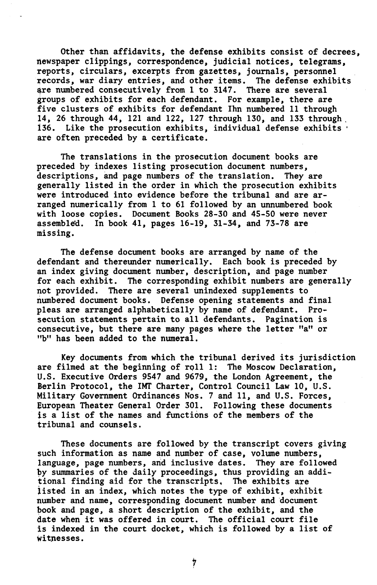Other than affidavits, the defense exhibits consist of decrees, newspaper clippings, correspondence, judicial notices, telegrams, reports, circulars, excerpts from gazettes, journals, personnel records, war diary entries, and other items. The defense exhibits are numbered consecutively from 1 to 3147. There are several groups of exhibits for each defendant. For example, there are five clusters of exhibits for defendant Ihn numbered 11 through 14, 26 through 44, 121 and 122, 127 through 130, and 133 through , 136. Like the prosecution exhibits, individual defense exhibits • are often preceded by a certificate.

The translations in the prosecution document books are preceded by indexes listing prosecution document numbers, descriptions, and page numbers of the translation. They are generally listed in the order in which the prosecution exhibits were introduced into evidence before the tribunal and are arranged numerically from 1 to 61 followed by an unnumbered book with loose copies. Document Books 28-30 and 45-50 were never assemble'd. In book 41, pages 16-19, 31-34, and 73-78 are missing.

The defense document books are arranged by name of the defendant and thereunder numerically. Each book is preceded by an index giving document number, description, and page number for each exhibit. The corresponding exhibit numbers are generally not provided. There are several unindexed supplements to numbered document books. Defense opening statements and final<br>pleas are arranged alphabetically by name of defendant. Propleas are arranged alphabetically by name of defendant. secution statements pertain to all defendants. Pagination is consecutive, but there are many pages where the letter "a" or "b" has been added to the numeral.

Key documents from which the tribunal derived its jurisdiction are filmed at the beginning of roll 1: The Moscow Declaration, U.S. Executive Orders 9547 and 9679, the London Agreement, the Berlin Protocol, the IMT Charter, Control Council Law 10, U.S. Military Government Ordinances Nos. 7 and 11, and U.S. Forces, European Theater General Order 301. Following these documents is a list of the names and functions of the members of the tribunal and counsels.

These documents are followed by the transcript covers giving such information as name and number of case, volume numbers, language, page numbers, and inclusive dates. They are followed by summaries of the daily proceedings, thus providing an additional finding aid for the transcripts. The exhibits are listed in an index, which notes the type of exhibit, exhibit number and name, corresponding document number and document book and page, a short description of the exhibit, and the date when it was offered in court. The official court file is indexed in the court docket, which is followed by a list of witnesses.

fr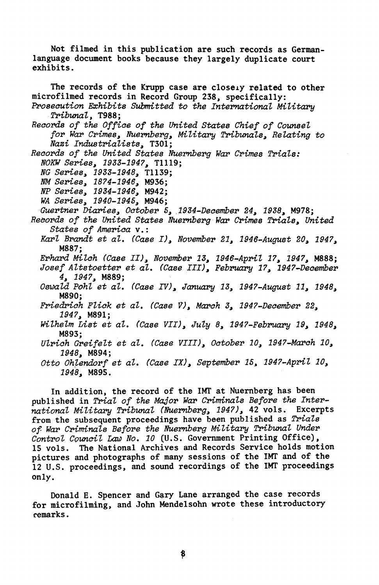Not filmed in this publication are such records as Germanlanguage document books because they largely duplicate court exhibits.

The records of the Krupp case are closeiy related to other microfilmed records in Record Group 238, specifically: Prosecution Exhibits Submitted to the International Military Tribunal, T988; Records of the Office of the United States Chief of Counsel for War Crimes, Nuernberg, Military Tribunals, Relating to Nazi Industrialists, T301; Records of the United States Nuernberg War Crimes Trials: NOKW Series, 1933-1947, T1119; NG Series, 1933-1948, T1139; AM Series, 1874-1946, M936; NP Series, 1934-1946, M942; WA Series, 1940-1945, M946; Guertner Diaries, October 5, 1934-December 24, 1938, M978; Records of the United States Nuernberg War Crimes Trials, United States of America v.: Karl Brandt et al. (Case I), November 21, 1946-August 20, 1947, M887; Erhard Milch (Case II), November IS, 1946-April 17, 1947, M888; Josef Altstoetter et al. (Case III), February 17, 1947-December 4, 1947, M889; Oswald Pohl et al. (Case IV), January 13, 1947-August 11, 1948, M890; Friedrich Flick et al. (Case V), March 3, 1947-December 22, 1947, M891; Wilhelm List et al. (Case VII), July 8, 1947-February 19, 1948, M893; Ulrich Greifelt et al. (Case VIII), October 10, 1947-March 10, 1948, M894; Otto Ohlendorf et al. (Case IX), September 15, 1947-April 10, 1948, M895. In addition, the record of the IMT at Nuernberg has been

published in Trial of the Major War Criminals Before the International Military Tribunal (Nuernberg, 1947), 42 vols. Excerpts from the subsequent proceedings have been published as Trials of War Criminals Before the Nuernberg Military Tribunal Under Control Council Law No. 10 (U.S. Government Printing Office), 15 vols. The National Archives and Records Service holds motion pictures and photographs of many sessions of the IMT and of the 12 U.S. proceedings, and sound recordings of the IMT proceedings only.

Donald E. Spencer and Gary Lane arranged the case records for microfilming, and John Mendelsohn wrote these introductory remarks.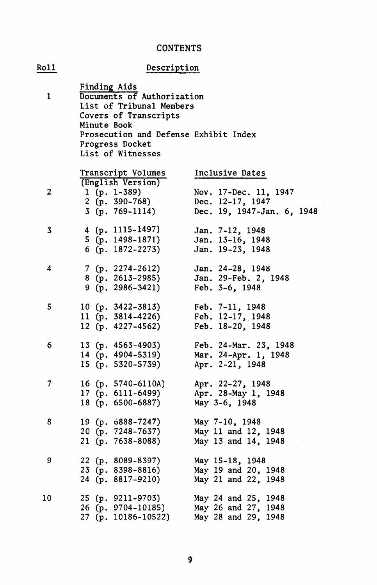## **CONTENTS**

| <b>Roll</b>             | Description                                                                                                                                                                                     |                                                                                            |
|-------------------------|-------------------------------------------------------------------------------------------------------------------------------------------------------------------------------------------------|--------------------------------------------------------------------------------------------|
| 1                       | Finding Aids<br>Documents of Authorization<br>List of Tribunal Members<br>Covers of Transcripts<br>Minute Book<br>Prosecution and Defense Exhibit Index<br>Progress Docket<br>List of Witnesses |                                                                                            |
| $\overline{\mathbf{c}}$ | Transcript Volumes<br>(English Version)<br>1 (p. 1-389)<br>2 (p. 390-768)<br>$3(p. 769-1114)$                                                                                                   | Inclusive Dates<br>Nov. 17-Dec. 11, 1947<br>Dec. 12-17, 1947<br>Dec. 19, 1947-Jan. 6, 1948 |
| 3                       | 4 (p. 1115-1497)<br>5 (p. 1498-1871)<br>6 (p. 1872-2273)                                                                                                                                        | Jan. 7-12, 1948<br>Jan. 13-16, 1948<br>Jan. 19-23, 1948                                    |
| 4                       | 7 (p. 2274-2612)<br>8 (p. 2613-2985)<br>9 (p. 2986-3421)                                                                                                                                        | Jan. 24-28, 1948<br>Jan. 29-Feb. 2, 1948<br>Feb. 3-6, 1948                                 |
| 5                       | 10 (p. 3422-3813)<br>11 (p. $3814 - 4226$ )<br>12 (p. 4227-4562)                                                                                                                                | Feb. 7-11, 1948<br>Feb. 12-17, 1948<br>Feb. 18-20, 1948                                    |
| 6                       | 13 (p. 4563-4903)<br>14 (p. 4904-5319)<br>15 (p. 5320-5739)                                                                                                                                     | Feb. 24-Mar. 23, 1948<br>Mar. 24-Apr. 1, 1948<br>Apr. 2-21, 1948                           |
| 7                       | 16 (p. 5740-6110A)<br>17 (p. 6111-6499)<br>18 (p. 6500-6887)                                                                                                                                    | Apr. 22-27, 1948<br>Apr. 28-May 1, 1948<br>May 3-6, 1948                                   |
| 8                       | 19 (p. 6888-7247)<br>20 (p. 7248-7637)<br>21 (p. 7638-8088)                                                                                                                                     | May 7-10, 1948<br>May 11 and 12, 1948<br>May 13 and 14, 1948                               |
| 9                       | 22 (p. 8089-8397)<br>23 (p. 8398-8816)<br>24 (p. 8817-9210)                                                                                                                                     | May 15-18, 1948<br>May 19 and 20, 1948<br>May 21 and 22, 1948                              |
| 10                      | 25 (p. 9211-9703)<br>26 (p. 9704-10185)<br>$(p. 10186 - 10522)$<br>27                                                                                                                           | May 24 and 25, 1948<br>May 26 and 27, 1948<br>May 28 and 29, 1948                          |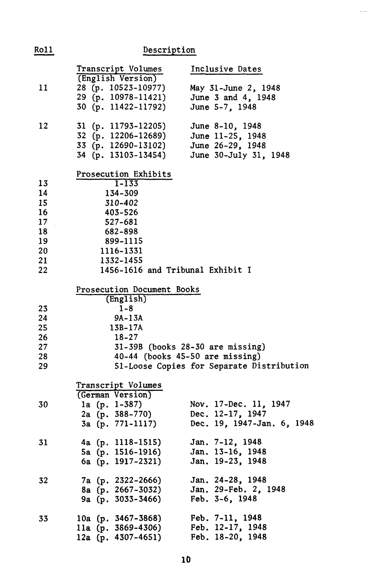| Roll     | Description                                |                                           |  |
|----------|--------------------------------------------|-------------------------------------------|--|
|          | Transcript Volumes                         | Inclusive Dates                           |  |
|          | (English Version)                          |                                           |  |
| 11       | 28 (p. 10523-10977)                        | May 31-June 2, 1948                       |  |
|          | 29 (p. 10978-11421)                        | June 3 and 4, 1948                        |  |
|          | 30 (p. 11422-11792)                        | June 5-7, 1948                            |  |
| 12       | 31 (p. 11793-12205)                        | June 8-10, 1948                           |  |
|          |                                            | June 11-25, 1948                          |  |
|          | 32 (p. 12206-12689)<br>33 (p. 12690-13102) | June 26-29, 1948                          |  |
|          | 34 (p. 13103-13454)                        | June 30-July 31, 1948                     |  |
|          | Prosecution Exhibits                       |                                           |  |
| 13       | $1 - 133$                                  |                                           |  |
| 14       | 134-309                                    |                                           |  |
| 15       | 310-402                                    |                                           |  |
| 16       | 403-526                                    |                                           |  |
| 17       | 527-681                                    |                                           |  |
| 18<br>19 | 682-898<br>899-1115                        |                                           |  |
| 20       | 1116-1331                                  |                                           |  |
| 21       | 1332-1455                                  |                                           |  |
| 22       | 1456-1616 and Tribunal Exhibit I           |                                           |  |
|          | Prosecution Document Books                 |                                           |  |
|          | (English)                                  |                                           |  |
| 23       | 1-8                                        |                                           |  |
| 24       | 9A-13A                                     |                                           |  |
| 25       | 13B-17A                                    |                                           |  |
| 26       | 18-27                                      |                                           |  |
| 27       |                                            | 31-39B (books 28-30 are missing)          |  |
| 28       |                                            | 40-44 (books 45-50 are missing)           |  |
| 29       |                                            | 51-Loose Copies for Separate Distribution |  |
|          | Transcript Volumes                         |                                           |  |
|          | (German Version)                           |                                           |  |
| 30       | la (p. 1-387)                              | Nov. 17-Dec. 11, 1947                     |  |
|          | 2a (p. 388–770)                            | Dec. 12-17, 1947                          |  |
|          | 3a (p. 771-1117)                           | Dec. 19, 1947-Jan. 6, 1948                |  |
| 31       | 4a (p. 1118-1515)                          | Jan. 7-12, 1948                           |  |
|          | 5a (p. 1516-1916)                          | Jan. 13-16, 1948                          |  |
|          | 6a (p. 1917–2321)                          | Jan. 19-23, 1948                          |  |
| 32       | 7a (p. 2322–2666)                          | Jan. 24-28, 1948                          |  |
|          | 8a (p. 2667-3032)                          | Jan. 29-Feb. 2, 1948                      |  |
|          | 9a (p. 3033-3466)                          | Feb. $3-6$ , 1948                         |  |
| 33       | 10a (p. 3467-3868)                         | Feb. 7-11, 1948                           |  |
|          | lla (p. 3869-4306)                         | Feb. 12-17, 1948                          |  |
|          | 12a (p. 4307-4651)                         | Feb. 18-20, 1948                          |  |

 $\omega_{\rm s}$  and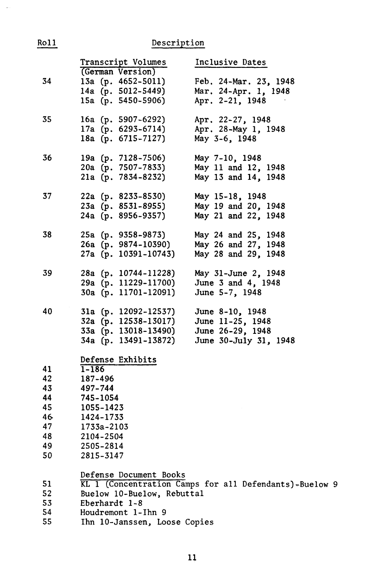## Roll Description

 $\bar{\psi}$ 

|    | Transcript Volumes           | Inclusive Dates                                        |  |
|----|------------------------------|--------------------------------------------------------|--|
|    | (German Version)             |                                                        |  |
| 34 | 13a (p. 4652-5011)           | Feb. 24-Mar. 23, 1948                                  |  |
|    | 14a (p. 5012-5449)           | Mar. 24-Apr. 1, 1948                                   |  |
|    | 15a (p. 5450-5906)           | Apr. 2-21, 1948                                        |  |
| 35 | 16a (p. 5907-6292)           | Apr. 22-27, 1948                                       |  |
|    | 17a (p. 6293-6714)           | Apr. 28-May 1, 1948                                    |  |
|    | 18a (p. 6715-7127)           | May 3-6, 1948                                          |  |
| 36 | 19a (p. 7128-7506)           | May 7-10, 1948                                         |  |
|    | 20a (p. 7507-7833)           | May 11 and 12, 1948                                    |  |
|    | 21a (p. 7834-8232)           | May 13 and 14, 1948                                    |  |
| 37 | 22a (p. 8233-8530)           | May 15-18, 1948                                        |  |
|    | 23a (p. 8531-8955)           | May 19 and 20, 1948                                    |  |
|    | 24а (р. 8956–9357)           | May 21 and 22, 1948                                    |  |
| 38 | 25a (p. 9358-9873)           | May 24 and 25, 1948                                    |  |
|    | 26a (p. 9874-10390)          | May 26 and 27, 1948                                    |  |
|    | 27a (p. 10391-10743)         | May 28 and 29, 1948                                    |  |
|    |                              |                                                        |  |
| 39 | 28a (p. 10744-11228)         | May 31-June 2, 1948                                    |  |
|    | 29a (p. 11229-11700)         | June 3 and 4, 1948                                     |  |
|    | 30a (p. 11701-12091)         | June 5-7, 1948                                         |  |
| 40 | 31a (p. 12092-12537)         | June 8-10, 1948                                        |  |
|    | 32a (p. 12538-13017)         | June 11-25, 1948                                       |  |
|    | 33a (p. 13018-13490)         | June 26-29, 1948                                       |  |
|    | 34a (p. 13491-13872)         | June 30-July 31, 1948                                  |  |
|    | Defense Exhibits             |                                                        |  |
| 41 | $1 - 186$                    |                                                        |  |
| 42 | 187-496                      |                                                        |  |
| 43 | 497–744                      |                                                        |  |
| 44 | 745-1054                     |                                                        |  |
| 45 | 1055-1423                    |                                                        |  |
| 46 | 1424-1733                    |                                                        |  |
| 47 | 1733a-2103                   |                                                        |  |
| 48 | 2104-2504                    |                                                        |  |
| 49 | 2505-2814                    |                                                        |  |
| 50 | 2815-3147                    |                                                        |  |
|    | Defense Document Books       |                                                        |  |
| 51 |                              | KL 1 (Concentration Camps for all Defendants)-Buelow 9 |  |
| 52 | Buelow 10-Buelow, Rebuttal   |                                                        |  |
| 53 | Eberhardt 1-8                |                                                        |  |
| 54 | Houdremont 1-Ihn 9           |                                                        |  |
| 55 | Ihn 10-Janssen, Loose Copies |                                                        |  |
|    |                              |                                                        |  |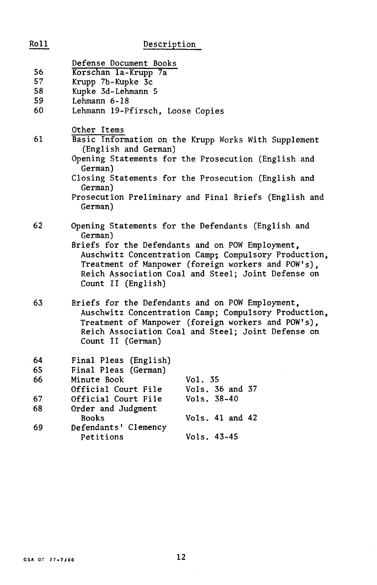| Roll                       | Description                                                                                                                                                                                                                                                                                                 |
|----------------------------|-------------------------------------------------------------------------------------------------------------------------------------------------------------------------------------------------------------------------------------------------------------------------------------------------------------|
| 56<br>57<br>58<br>59<br>60 | Defense Document Books<br>Korschan la-Krupp 7a<br>Krupp 7b-Kupke 3c<br>Kupke 3d-Lehmann 5<br>Lehmann 6-18<br>Lehmann 19-Pfirsch, Loose Copies                                                                                                                                                               |
| 61                         | Other Items<br>Basic Information on the Krupp Works With Supplement<br>(English and German)<br>Opening Statements for the Prosecution (English and<br>German)<br>Closing Statements for the Prosecution (English and<br>German)<br>Prosecution Preliminary and Final Briefs (English and<br>German)         |
| 62                         | Opening Statements for the Defendants (English and<br>German)<br>Briefs for the Defendants and on POW Employment,<br>Auschwitz Concentration Camp; Compulsory Production,<br>Treatment of Manpower (foreign workers and POW's),<br>Reich Association Coal and Steel; Joint Defense on<br>Count II (English) |
| 63                         | Briefs for the Defendants and on POW Employment,<br>Auschwitz Concentration Camp; Compulsory Production,<br>Treatment of Manpower (foreign workers and POW's),<br>Reich Association Coal and Steel; Joint Defense on<br>Count II (German)                                                                   |
| 64                         | Final Pleas (English)                                                                                                                                                                                                                                                                                       |
| 65                         | Final Pleas (German)                                                                                                                                                                                                                                                                                        |
| 66                         | Minute Book<br>Vol. 35<br>Official Court File<br>Vols. 36 and 37                                                                                                                                                                                                                                            |
| 67                         | Vols. 38-40<br>Official Court File                                                                                                                                                                                                                                                                          |
| 68                         | Order and Judgment                                                                                                                                                                                                                                                                                          |
|                            | <b>Books</b><br>Vols. 41 and 42                                                                                                                                                                                                                                                                             |
| 69                         | Defendants' Clemency<br>Vols. 43-45<br>Petitions                                                                                                                                                                                                                                                            |